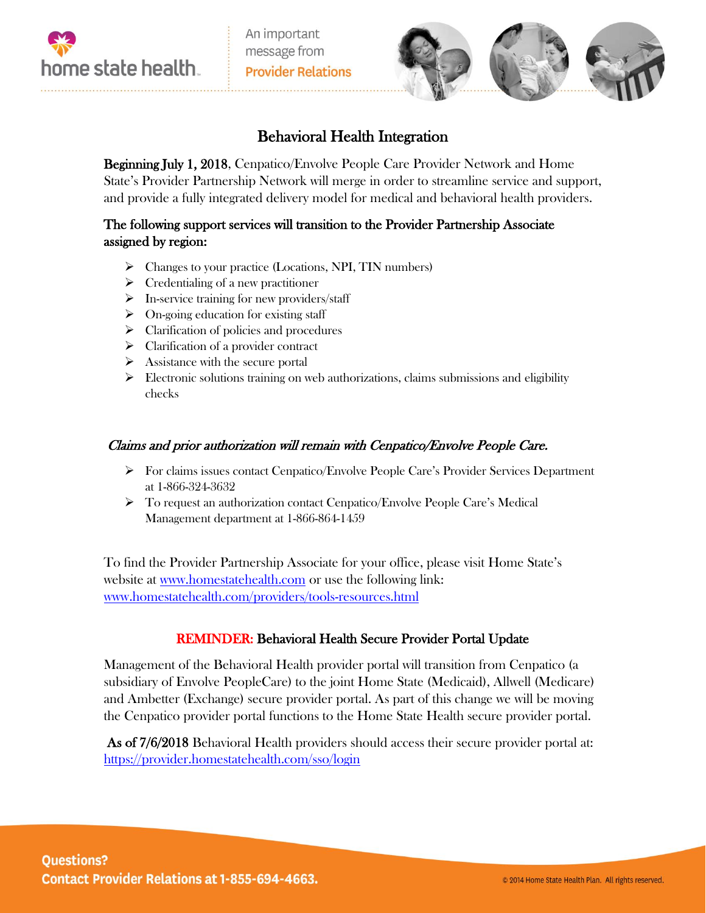



# Behavioral Health Integration

Beginning July 1, 2018, Cenpatico/Envolve People Care Provider Network and Home State's Provider Partnership Network will merge in order to streamline service and support, and provide a fully integrated delivery model for medical and behavioral health providers.

## The following support services will transition to the Provider Partnership Associate assigned by region:

- $\triangleright$  Changes to your practice (Locations, NPI, TIN numbers)
- $\triangleright$  Credentialing of a new practitioner
- $\triangleright$  In-service training for new providers/staff
- $\triangleright$  On-going education for existing staff
- $\triangleright$  Clarification of policies and procedures
- $\triangleright$  Clarification of a provider contract
- $\triangleright$  Assistance with the secure portal
- $\triangleright$  Electronic solutions training on web authorizations, claims submissions and eligibility checks

### Claims and prior authorization will remain with Cenpatico/Envolve People Care.

- $\triangleright$  For claims issues contact Cenpatico/Envolve People Care's Provider Services Department at 1-866-324-3632
- To request an authorization contact Cenpatico/Envolve People Care's Medical Management department at 1-866-864-1459

To find the Provider Partnership Associate for your office, please visit Home State's website at [www.homestatehealth.com](http://www.homestatehealth.com/) or use the following link: [www.homestatehealth.com/providers/tools-resources.html](http://www.homestatehealth.com/providers/tools-resources.html)

### REMINDER: Behavioral Health Secure Provider Portal Update

Management of the Behavioral Health provider portal will transition from Cenpatico (a subsidiary of Envolve PeopleCare) to the joint Home State (Medicaid), Allwell (Medicare) and Ambetter (Exchange) secure provider portal. As part of this change we will be moving the Cenpatico provider portal functions to the Home State Health secure provider portal.

As of 7/6/2018 Behavioral Health providers should access their secure provider portal at: <https://provider.homestatehealth.com/sso/login>